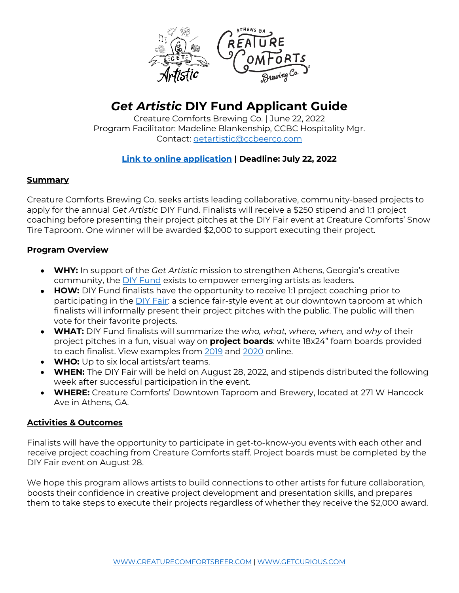

# *Get Artistic* **DIY Fund Applicant Guide**

Creature Comforts Brewing Co. | June 22, 2022 Program Facilitator: Madeline Blankenship, CCBC Hospitality Mgr. Contact: getartistic@ccbeerco.com

## **Link to online application | Deadline: July 22, 2022**

#### **Summary**

Creature Comforts Brewing Co. seeks artists leading collaborative, community-based projects to apply for the annual *Get Artistic* DIY Fund. Finalists will receive a \$250 stipend and 1:1 project coaching before presenting their project pitches at the DIY Fair event at Creature Comforts' Snow Tire Taproom. One winner will be awarded \$2,000 to support executing their project.

#### **Program Overview**

- **WHY:** In support of the *Get Artistic* mission to strengthen Athens, Georgia's creative community, the DIY Fund exists to empower emerging artists as leaders.
- **HOW:** DIY Fund finalists have the opportunity to receive 1:1 project coaching prior to participating in the DIY Fair: a science fair-style event at our downtown taproom at which finalists will informally present their project pitches with the public. The public will then vote for their favorite projects.
- **WHAT:** DIY Fund finalists will summarize the *who, what, where, when,* and *why* of their project pitches in a fun, visual way on **project boards**: white 18x24" foam boards provided to each finalist. View examples from 2019 and 2020 online.
- **WHO:** Up to six local artists/art teams.
- **WHEN:** The DIY Fair will be held on August 28, 2022, and stipends distributed the following week after successful participation in the event.
- **WHERE:** Creature Comforts' Downtown Taproom and Brewery, located at 271 W Hancock Ave in Athens, GA.

### **Activities & Outcomes**

Finalists will have the opportunity to participate in get-to-know-you events with each other and receive project coaching from Creature Comforts staff. Project boards must be completed by the DIY Fair event on August 28.

We hope this program allows artists to build connections to other artists for future collaboration, boosts their confidence in creative project development and presentation skills, and prepares them to take steps to execute their projects regardless of whether they receive the \$2,000 award.